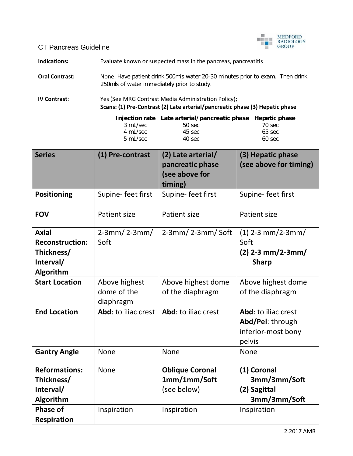

CT Pancreas Guideline

**Indications:** Evaluate known or suspected mass in the pancreas, pancreatitis

**Oral Contrast:** None; Have patient drink 500mls water 20-30 minutes prior to exam. Then drink 250mls of water immediately prior to study.

**IV Contrast**: Yes (See MRG Contrast Media Administration Policy); **Scans: (1) Pre-Contrast (2) Late arterial/pancreatic phase (3) Hepatic phase**

|          | Injection rate Late arterial/pancreatic phase Hepatic phase |           |
|----------|-------------------------------------------------------------|-----------|
| 3 mL/sec | $50$ sec.                                                   | 70 sec    |
| 4 mL/sec | 45 sec                                                      | 65 sec    |
| 5 mL/sec | 40 sec                                                      | $60$ sec. |
|          |                                                             |           |

| <b>Series</b>                                                                  | (1) Pre-contrast                          | (2) Late arterial/<br>pancreatic phase<br>(see above for<br>timing) | (3) Hepatic phase<br>(see above for timing)                             |
|--------------------------------------------------------------------------------|-------------------------------------------|---------------------------------------------------------------------|-------------------------------------------------------------------------|
| <b>Positioning</b>                                                             | Supine-feet first                         | Supine-feet first                                                   | Supine-feet first                                                       |
| <b>FOV</b>                                                                     | Patient size                              | <b>Patient size</b>                                                 | Patient size                                                            |
| <b>Axial</b><br><b>Reconstruction:</b><br>Thickness/<br>Interval/<br>Algorithm | $2-3mm/2-3mm/$<br>Soft                    | $2-3mm/2-3mm/$ Soft                                                 | $(1)$ 2-3 mm/2-3mm/<br>Soft<br>$(2)$ 2-3 mm/2-3mm/<br><b>Sharp</b>      |
| <b>Start Location</b>                                                          | Above highest<br>dome of the<br>diaphragm | Above highest dome<br>of the diaphragm                              | Above highest dome<br>of the diaphragm                                  |
| <b>End Location</b>                                                            | Abd: to iliac crest                       | Abd: to iliac crest                                                 | Abd: to iliac crest<br>Abd/Pel: through<br>inferior-most bony<br>pelvis |
| <b>Gantry Angle</b>                                                            | None                                      | None                                                                | None                                                                    |
| <b>Reformations:</b><br>Thickness/<br>Interval/<br>Algorithm                   | None                                      | <b>Oblique Coronal</b><br>1mm/1mm/Soft<br>(see below)               | (1) Coronal<br>3mm/3mm/Soft<br>(2) Sagittal<br>3mm/3mm/Soft             |
| <b>Phase of</b><br><b>Respiration</b>                                          | Inspiration                               | Inspiration                                                         | Inspiration                                                             |